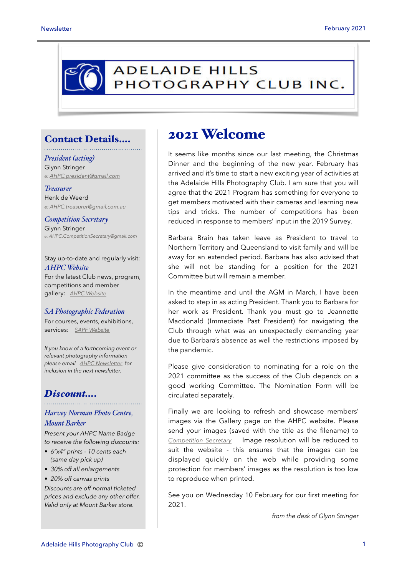

#### Contact Details….

*President (acting)* Glynn Stringer *e: [AHPC.president@gmail.com](mailto:AHPC.president@gmail.com)*

*Treasurer* Henk de Weerd *e: [AHPC.treasurer@gmail.com.au](mailto:AHPC.treasurer@gmail.com.au)*

*Competition Secretary* Glynn Stringer *e: [AHPC.CompetitionSecretary@gmail.com](mailto:AHPC.CompetitionSecretary@gmail.com)*

Stay up-to-date and regularly visit: *AHPC Website* For the latest Club news, program, competitions and member gallery: *[AHPC Website](http://www.adelaidehillsphotographyclub.com.au)*

#### *SA Photographic Federation*

For courses, events, exhibitions, services: *[SAPF Website](https://www.sapf.org.au)*

*If you know of a forthcoming event or relevant photography information please email [AHPC Newsletter](mailto:paulaphotoclick@gmail.com)* f*or inclusion in the next newsletter.* 

#### *Discount….*

#### *Harvey Norman Photo Centre, Mount Barker*

*Present your AHPC Name Badge to receive the following discounts:* 

- *6"x4" prints 10 cents each (same day pick up)*
- *30% off all enlargements*
- *20% off canvas prints*

*Discounts are off normal ticketed prices and exclude any other offer. Valid only at Mount Barker store.*

### 2021 Welcome

It seems like months since our last meeting, the Christmas Dinner and the beginning of the new year. February has arrived and it's time to start a new exciting year of activities at the Adelaide Hills Photography Club. I am sure that you will agree that the 2021 Program has something for everyone to get members motivated with their cameras and learning new tips and tricks. The number of competitions has been reduced in response to members' input in the 2019 Survey.

Barbara Brain has taken leave as President to travel to Northern Territory and Queensland to visit family and will be away for an extended period. Barbara has also advised that she will not be standing for a position for the 2021 Committee but will remain a member.

In the meantime and until the AGM in March, I have been asked to step in as acting President. Thank you to Barbara for her work as President. Thank you must go to Jeannette Macdonald (Immediate Past President) for navigating the Club through what was an unexpectedly demanding year due to Barbara's absence as well the restrictions imposed by the pandemic.

Please give consideration to nominating for a role on the 2021 committee as the success of the Club depends on a good working Committee. The Nomination Form will be circulated separately.

Finally we are looking to refresh and showcase members' images via the Gallery page on the AHPC website. Please send your images (saved with the title as the filename) to *[Competition Secretary](mailto:AHPC.CompetitionSecretary@gmail.com)* Image resolution will be reduced to suit the website - this ensures that the images can be displayed quickly on the web while providing some protection for members' images as the resolution is too low to reproduce when printed.

See you on Wednesday 10 February for our first meeting for 2021.

*from the desk of Glynn Stringer*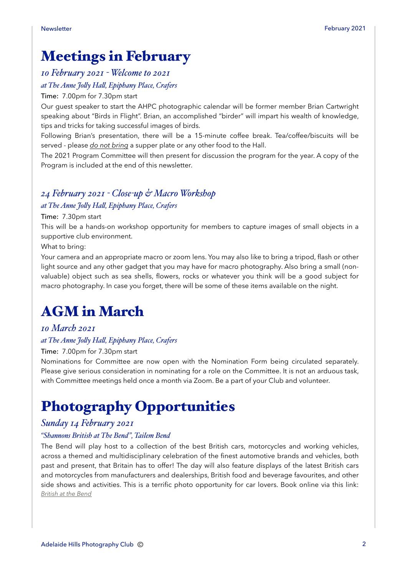## Meetings in February

#### *10 February 2021 - Welcome to 2021*

#### *at The Anne Jo\$y Ha\$, Epiphany Place, Crafers*

#### Time: 7.00pm for 7.30pm start

Our guest speaker to start the AHPC photographic calendar will be former member Brian Cartwright speaking about "Birds in Flight". Brian, an accomplished "birder" will impart his wealth of knowledge, tips and tricks for taking successful images of birds.

Following Brian's presentation, there will be a 15-minute coffee break. Tea/coffee/biscuits will be served - please *do not bring* a supper plate or any other food to the Hall.

The 2021 Program Committee will then present for discussion the program for the year. A copy of the Program is included at the end of this newsletter.

#### *24 February 2021 - Close-up & Macro Workshop at The Anne Jo\$y Ha\$, Epiphany Place, Crafers*

#### Time: 7.30pm start

This will be a hands-on workshop opportunity for members to capture images of small objects in a supportive club environment.

What to bring:

Your camera and an appropriate macro or zoom lens. You may also like to bring a tripod, flash or other light source and any other gadget that you may have for macro photography. Also bring a small (nonvaluable) object such as sea shells, flowers, rocks or whatever you think will be a good subject for macro photography. In case you forget, there will be some of these items available on the night.

# AGM in March

### *10 March 2021*

#### *at The Anne Jo\$y Ha\$, Epiphany Place, Crafers*

#### Time: 7.00pm for 7.30pm start

Nominations for Committee are now open with the Nomination Form being circulated separately. Please give serious consideration in nominating for a role on the Committee. It is not an arduous task, with Committee meetings held once a month via Zoom. Be a part of your Club and volunteer.

# Photography Opportunities

#### *Sunday 14 February 2021*

#### *"Shannons British at The Bend", Tailem Bend*

The Bend will play host to a collection of the best British cars, motorcycles and working vehicles, across a themed and multidisciplinary celebration of the finest automotive brands and vehicles, both past and present, that Britain has to offer! The day will also feature displays of the latest British cars and motorcycles from manufacturers and dealerships, British food and beverage favourites, and other side shows and activities. This is a terrific photo opportunity for car lovers. Book online via this link: *[British at the Bend](https://www.thebend.com.au/british-at-the-bend)*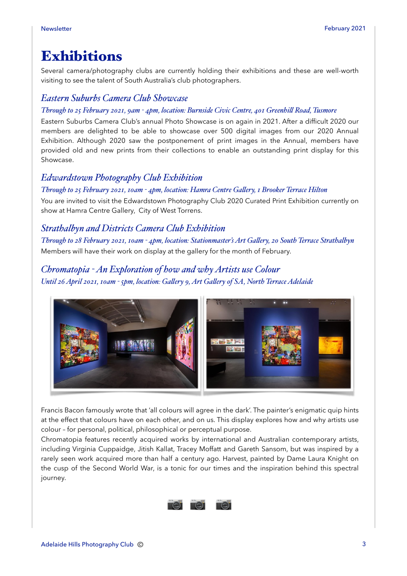### Exhibitions

Several camera/photography clubs are currently holding their exhibitions and these are well-worth visiting to see the talent of South Australia's club photographers.

#### *Eastern Suburbs Camera Club Showcase*

#### *Through to 25 February 2021, 9am - 4pm, location: Burnside Civic Centre, 401 Greenhill Road, Tusmore*

Eastern Suburbs Camera Club's annual Photo Showcase is on again in 2021. After a difficult 2020 our members are delighted to be able to showcase over 500 digital images from our 2020 Annual Exhibition. Although 2020 saw the postponement of print images in the Annual, members have provided old and new prints from their collections to enable an outstanding print display for this Showcase.

#### *Edwardstown Photography Club Exhibition*

*Through to 25 February 2021, 10am - 4pm, location: Hamra Centre Ga\$ery, 1 Brooker Terrace Hilton* You are invited to visit the Edwardstown Photography Club 2020 Curated Print Exhibition currently on show at Hamra Centre Gallery, City of West Torrens.

#### *Strathalbyn and Districts Camera Club Exhibition*

*Through to 28 February 2021, 10am - 4pm, location: Stationmaster's Art Gallery, 20 South Terrace Strathalbyn* Members will have their work on display at the gallery for the month of February.

#### *Chromatopia - An Exploration of how and why Artists use Colour*

*Until 26 April 2021, 10am - 5pm, location: Ga\$ery 9, Art Ga\$ery of SA, North Terrace Adelaide*



Francis Bacon famously wrote that 'all colours will agree in the dark'. The painter's enigmatic quip hints at the effect that colours have on each other, and on us. This display explores how and why artists use colour – for personal, political, philosophical or perceptual purpose.

Chromatopia features recently acquired works by international and Australian contemporary artists, including Virginia Cuppaidge, Jitish Kallat, Tracey Moffatt and Gareth Sansom, but was inspired by a rarely seen work acquired more than half a century ago. Harvest, painted by Dame Laura Knight on the cusp of the Second World War, is a tonic for our times and the inspiration behind this spectral journey.

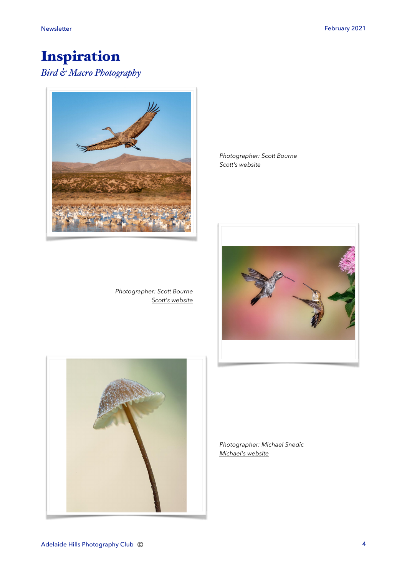# Inspiration

### *Bird & Macro Photography*



*Photographer: Scott Bourne [Scott's website](https://scottbourne971246603.wordpress.com)* *Photographer: Scott Bourne [Scott's website](https://scottbourne971246603.wordpress.com)*





*Photographer: Michael Snedic [Michael's website](https://michaelsnedic.com/category/galleries/australian-macro-fungi/)*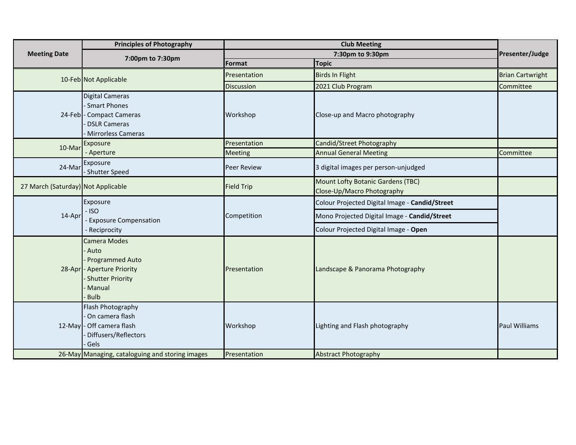| <b>Meeting Date</b>                | <b>Principles of Photography</b>                                                                                                          | <b>Club Meeting</b> |                                                                 |                         |
|------------------------------------|-------------------------------------------------------------------------------------------------------------------------------------------|---------------------|-----------------------------------------------------------------|-------------------------|
|                                    | 7:00pm to 7:30pm                                                                                                                          | 7:30pm to 9:30pm    |                                                                 | Presenter/Judge         |
|                                    |                                                                                                                                           | Format              | <b>Topic</b>                                                    |                         |
|                                    | 10-Feb Not Applicable                                                                                                                     | Presentation        | <b>Birds In Flight</b>                                          | <b>Brian Cartwright</b> |
|                                    |                                                                                                                                           | Discussion          | 2021 Club Program                                               | Committee               |
|                                    | <b>Digital Cameras</b><br>Smart Phones<br>24-Feb - Compact Cameras<br><b>DSLR Cameras</b><br><b>Mirrorless Cameras</b>                    | Workshop            | Close-up and Macro photography                                  |                         |
| 10-Mar                             | Exposure                                                                                                                                  | Presentation        | Candid/Street Photography                                       |                         |
|                                    | - Aperture                                                                                                                                | Meeting             | <b>Annual General Meeting</b>                                   | Committee               |
| 24-Mar                             | Exposure<br>- Shutter Speed                                                                                                               | <b>Peer Review</b>  | 3 digital images per person-unjudged                            |                         |
| 27 March (Saturday) Not Applicable |                                                                                                                                           | <b>Field Trip</b>   | Mount Lofty Botanic Gardens (TBC)<br>Close-Up/Macro Photography |                         |
| 14-Apr                             | Exposure                                                                                                                                  | Competition         | Colour Projected Digital Image - Candid/Street                  |                         |
|                                    | $-$ ISO<br><b>Exposure Compensation</b>                                                                                                   |                     | Mono Projected Digital Image - Candid/Street                    |                         |
|                                    | - Reciprocity                                                                                                                             |                     | Colour Projected Digital Image - Open                           |                         |
|                                    | <b>Camera Modes</b><br>- Auto<br><b>Programmed Auto</b><br>28-Apr - Aperture Priority<br><b>Shutter Priority</b><br>Manual<br><b>Bulb</b> | Presentation        | Landscape & Panorama Photography                                |                         |
|                                    | Flash Photography<br>On camera flash<br>12-May - Off camera flash<br>Diffusers/Reflectors<br>Gels                                         | Workshop            | Lighting and Flash photography                                  | <b>Paul Williams</b>    |
|                                    | 26-May Managing, cataloguing and storing images                                                                                           | Presentation        | <b>Abstract Photography</b>                                     |                         |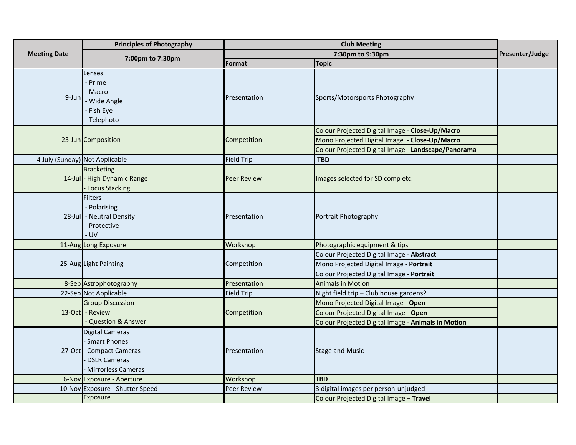|                                | <b>Principles of Photography</b>                                                                                         | <b>Club Meeting</b> |                                                                                                                                                         |                 |
|--------------------------------|--------------------------------------------------------------------------------------------------------------------------|---------------------|---------------------------------------------------------------------------------------------------------------------------------------------------------|-----------------|
| <b>Meeting Date</b>            | 7:00pm to 7:30pm                                                                                                         | 7:30pm to 9:30pm    |                                                                                                                                                         | Presenter/Judge |
|                                |                                                                                                                          | Format              | <b>Topic</b>                                                                                                                                            |                 |
| $9$ -Jun                       | Lenses<br>- Prime<br>- Macro<br>- Wide Angle<br>- Fish Eye<br>- Telephoto                                                | Presentation        | Sports/Motorsports Photography                                                                                                                          |                 |
|                                | 23-Jun Composition                                                                                                       | Competition         | Colour Projected Digital Image - Close-Up/Macro<br>Mono Projected Digital Image - Close-Up/Macro<br>Colour Projected Digital Image - Landscape/Panorama |                 |
| 4 July (Sunday) Not Applicable |                                                                                                                          | <b>Field Trip</b>   | <b>TBD</b>                                                                                                                                              |                 |
|                                | <b>Bracketing</b><br>14-Jul - High Dynamic Range<br>- Focus Stacking                                                     | <b>Peer Review</b>  | Images selected for SD comp etc.                                                                                                                        |                 |
|                                | <b>Filters</b><br>- Polarising<br>28-Jul - Neutral Density<br>- Protective<br>- UV                                       | Presentation        | Portrait Photography                                                                                                                                    |                 |
|                                | 11-Aug Long Exposure                                                                                                     | Workshop            | Photographic equipment & tips                                                                                                                           |                 |
|                                | 25-Aug Light Painting                                                                                                    | Competition         | Colour Projected Digital Image - Abstract<br>Mono Projected Digital Image - Portrait<br>Colour Projected Digital Image - Portrait                       |                 |
|                                | 8-Sep Astrophotography                                                                                                   | Presentation        | <b>Animals in Motion</b>                                                                                                                                |                 |
|                                | 22-Sep Not Applicable                                                                                                    | <b>Field Trip</b>   | Night field trip - Club house gardens?                                                                                                                  |                 |
|                                | <b>Group Discussion</b><br>13-Oct - Review<br>- Question & Answer                                                        | Competition         | Mono Projected Digital Image - Open<br>Colour Projected Digital Image - Open<br>Colour Projected Digital Image - Animals in Motion                      |                 |
|                                | <b>Digital Cameras</b><br><b>Smart Phones</b><br>27-Oct - Compact Cameras<br><b>DSLR Cameras</b><br>- Mirrorless Cameras | Presentation        | <b>Stage and Music</b>                                                                                                                                  |                 |
|                                | 6-Nov Exposure - Aperture                                                                                                | Workshop            | <b>TBD</b>                                                                                                                                              |                 |
|                                | 10-Nov Exposure - Shutter Speed<br>Exposure                                                                              | <b>Peer Review</b>  | 3 digital images per person-unjudged<br>Colour Projected Digital Image - Travel                                                                         |                 |